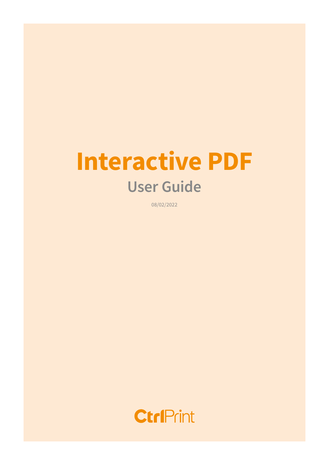# Interactive PDF User Guide

08/02/2022

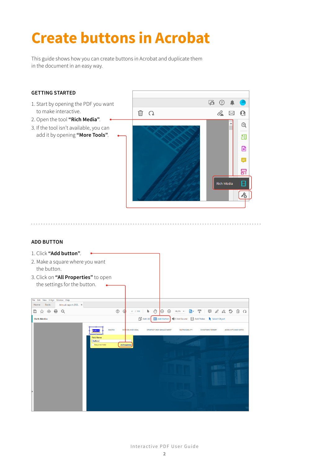# Create buttons in Acrobat

This guide shows how you can create buttons in Acrobat and duplicate them in the document in an easy way.

### GETTING STARTED **B ⊙ ▲** 1. Start by opening the PDF you want to make interactive.  $2 \boxtimes \Omega$ 而 Q 2. Open the tool "Rich Media".  $^{\circ}$ 3. If the tool isn't available, you can add it by opening "More Tools". 印  $\overline{\bullet}$  $\blacksquare$ 冨 Rich Media  $\Box$  $\lambda_0$

# ADD BUTTON

 $\sim$ 

. . . . . . . .

| File Edit View E-Sign Window Help<br>Tools<br>Annual-report-202 x<br>Home<br>$^{\circ}$<br><b>CD</b><br>而<br>$\odot$<br>$\Theta$<br>$\odot$<br>$O_{\omega}$<br>₿<br>國、<br>T<br>巨<br>$\Omega$<br>⊞<br>95,2%<br>⊕<br>a.<br>4 / 110<br>⋫<br>53<br>Add 3D<br>Add Sound Add Video<br><b>OK</b> Add Button<br>Select Object<br><b>Rich Media</b><br><b>MACRO</b><br>MISSION AND GOAL<br>STRATEGY AND MANAGEMENT<br><b>ACCOUNTS AND NOTES</b><br><b>SUSTAINABILITY</b><br><b>DIRECTORS' REPORT</b><br>uttoni<br><b>Field Name:</b><br>Button2<br><b>All Properties</b><br><b>Required field</b> | 1. Click "Add button".<br>2. Make a square where you want<br>the button.<br>3. Click on "All Properties" to open<br>the settings for the button. |  |  |  |  |  |  |  |
|------------------------------------------------------------------------------------------------------------------------------------------------------------------------------------------------------------------------------------------------------------------------------------------------------------------------------------------------------------------------------------------------------------------------------------------------------------------------------------------------------------------------------------------------------------------------------------------|--------------------------------------------------------------------------------------------------------------------------------------------------|--|--|--|--|--|--|--|
|                                                                                                                                                                                                                                                                                                                                                                                                                                                                                                                                                                                          |                                                                                                                                                  |  |  |  |  |  |  |  |
|                                                                                                                                                                                                                                                                                                                                                                                                                                                                                                                                                                                          |                                                                                                                                                  |  |  |  |  |  |  |  |
|                                                                                                                                                                                                                                                                                                                                                                                                                                                                                                                                                                                          |                                                                                                                                                  |  |  |  |  |  |  |  |
|                                                                                                                                                                                                                                                                                                                                                                                                                                                                                                                                                                                          |                                                                                                                                                  |  |  |  |  |  |  |  |

Interactive PDF User Guide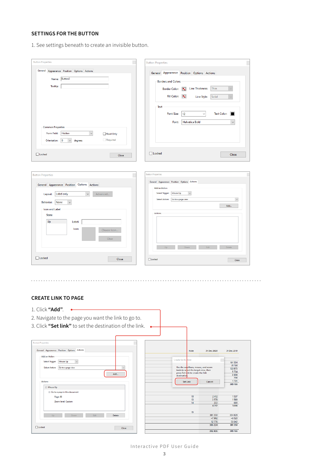# SETTINGS FOR THE BUTTON

1. See settings beneath to create an invisible button.

| <b>Button Properties</b>                                                                 |             | <b>Button Properties</b> |                                                              |                                                    |                                    |            |
|------------------------------------------------------------------------------------------|-------------|--------------------------|--------------------------------------------------------------|----------------------------------------------------|------------------------------------|------------|
| General Appearance Position Options Actions                                              |             |                          | General Appearance Position Options Actions                  |                                                    |                                    |            |
| Button3<br>Name:                                                                         |             |                          | <b>Borders and Colors</b>                                    |                                                    |                                    |            |
| <b>Tooltip:</b>                                                                          |             |                          | <b>Border Color:</b>                                         | <b>Line Thickness:</b><br>$\overline{\phantom{a}}$ | Thin                               |            |
|                                                                                          |             |                          | Fill Color:                                                  | N<br>Line Style:                                   | Solid                              |            |
|                                                                                          |             |                          | Text                                                         |                                                    |                                    |            |
|                                                                                          |             |                          | <b>Font Size:</b>                                            | 12                                                 | <b>Text Color:</b><br>$\checkmark$ |            |
|                                                                                          |             |                          | Font:                                                        | <b>Helvetica Bold</b>                              |                                    | $\sim$     |
| <b>Common Properties</b>                                                                 |             |                          |                                                              |                                                    |                                    |            |
| $\smallsmile$<br>Form Field:<br>Hidden                                                   | Read Only   |                          |                                                              |                                                    |                                    |            |
| $\overline{\phantom{a}}$<br>degrees<br>Orientation:<br>$\checkmark$                      | Required    |                          |                                                              |                                                    |                                    |            |
|                                                                                          |             | Locked                   |                                                              |                                                    |                                    | Close      |
|                                                                                          | Close       |                          |                                                              |                                                    |                                    |            |
|                                                                                          |             |                          |                                                              |                                                    |                                    |            |
|                                                                                          |             | <b>Button Properties</b> |                                                              |                                                    |                                    |            |
|                                                                                          |             |                          | General Appearance Position Options Actions<br>Add an Action |                                                    |                                    |            |
| Label only<br>Layout:<br>$\checkmark$                                                    | Advanced    |                          | Select Trigger:<br>Mouse Up                                  | $\check{~}$                                        |                                    |            |
|                                                                                          |             |                          | Select Action: Go to a page view                             |                                                    |                                    | $\backsim$ |
| None<br><b>Behavior:</b><br>$\checkmark$                                                 |             |                          |                                                              |                                                    |                                    | Add        |
| Icon and Label<br>State:                                                                 |             |                          | <b>Actions</b>                                               |                                                    |                                    |            |
| Up<br>Label:                                                                             |             |                          |                                                              |                                                    |                                    |            |
| Icon:                                                                                    |             |                          |                                                              |                                                    |                                    |            |
| $\Box$ Locked<br><b>Button Properties</b><br>General Appearance Position Options Actions | Choose Icon |                          |                                                              |                                                    |                                    |            |
|                                                                                          | Clear       |                          |                                                              |                                                    |                                    |            |
|                                                                                          |             |                          | Up                                                           | Down                                               | Edit                               | Delete     |

#### CREATE LINK TO PAGE

- 1. Click "Add". •
- 2. Navigate to the page you want the link to go to.
- 3. Click "Set link" to set the destination of the link. .

| General Appearance Position Options Actions |               | <b>Note</b>                           | 31 Dec 2020 | 31 Dec 2019 |
|---------------------------------------------|---------------|---------------------------------------|-------------|-------------|
| Add an Action                               |               |                                       |             |             |
|                                             |               | Create Go to View                     |             |             |
| Mouse Up<br>Select Trigger:<br>$\sim$       |               |                                       |             | 161 554     |
|                                             |               | Use the scrollbars, mouse, and zoom   |             | 78 168      |
| <b>Select Action:</b><br>Go to a page view  | $\checkmark$  | tools to select the target view, then |             | 133 875     |
|                                             |               | press Set Link to create the link     |             | 5 7 3 4     |
|                                             | Add           | destination.                          |             | 3 9 0 8     |
|                                             |               |                                       |             | 206         |
| Actions                                     |               | <b>Set Link</b>                       | Cancel      | 1721        |
| □ Mouse Up                                  |               |                                       |             | 385 166     |
|                                             |               |                                       |             |             |
| Go to a page in this document               |               |                                       |             |             |
|                                             |               | 10                                    | 2 4 1 2     | 1537        |
| Page: 83                                    |               | 13                                    | 3578        | 1589        |
| Zoom level: Custom                          |               | 14                                    | 222         | 690         |
|                                             |               |                                       | 6 2 12      | 3 816       |
|                                             |               | 15                                    |             |             |
| Edit<br>Up<br>Down                          | <b>Delete</b> |                                       | 381 350     | 334 828     |
|                                             |               |                                       | $-7902$     | $-6,520$    |
|                                             |               |                                       | 12776       | 53 042      |

#### Interactive PDF User Guide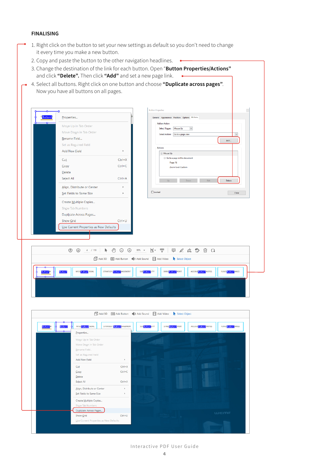### FINALISING

- 1. Right click on the button to set your new settings as default so you don't need to change it every time you make a new button.
	- 2. Copy and paste the button to the other navigation headlines.  $\bullet$
	- 3. Change the destination of the link for each button. Open "Button Properties/Actions" and click "Delete". Then click "Add" and set a new page link.
- 4. Select all buttons. Right click on one button and choose "Duplicate across pages". Now you have all buttons on all pages.

|                                        | General Appearance Position Options Actions<br><b>Add an Action</b> |
|----------------------------------------|---------------------------------------------------------------------|
| Move Up in Tab Order                   | $\checkmark$<br>Select Trigger:<br>Mouse Up                         |
| Move Down in Tab Order                 | Go to a page view<br><b>Select Action:</b>                          |
| Rename Field                           | Add                                                                 |
| Set as Reguired Field                  | <b>Actions</b>                                                      |
| <b>Add New Field</b><br>r              | □ Mouse Up                                                          |
| $Ctrl+X$<br>Cut                        | Go to a page in this document                                       |
| $Ctrl + C$<br>Copy                     | Page: 16<br>Zoom level: Custom                                      |
| <b>Delete</b>                          |                                                                     |
| $Ctrl + A$<br>Select All               | Down<br>Edit<br>Delete<br>Up                                        |
| Align, Distribute or Center            |                                                                     |
| Set Fields to Same Size<br>٠           | $\Box$ Locked<br>Close                                              |
| Create Multiple Copies                 |                                                                     |
| Show Tab Numbers                       |                                                                     |
| Duplicate Across Pages                 |                                                                     |
| $Ctrl + U$<br>Show Grid                |                                                                     |
| Use Current Properties as New Defaults |                                                                     |
|                                        |                                                                     |
|                                        |                                                                     |

| <b>Button3</b><br><b>Button3</b> | MISS Button3 GOAL<br>Properties                        | STRATEGY Button <sup>3</sup> NAGEMENT | SUS Button3 ITY | DIRECButton3 PORT | ACCOURCHITON NOTES<br><b>FUND Button3</b> ANCE |
|----------------------------------|--------------------------------------------------------|---------------------------------------|-----------------|-------------------|------------------------------------------------|
|                                  | Move Up in Tab Order                                   |                                       |                 |                   |                                                |
|                                  | Move Down in Tab Order<br>Rename Field                 |                                       |                 |                   |                                                |
|                                  | Set as Reguired Field<br>Add New Field                 | ٠                                     |                 |                   |                                                |
|                                  | Cut                                                    | $Ctrl+X$                              |                 |                   |                                                |
|                                  | Copy<br>Delete                                         | $CutH+C$                              |                 |                   |                                                |
|                                  | Select All                                             | $Ctrl + A$                            |                 |                   |                                                |
|                                  | Align, Distribute or Center<br>Set Fields to Same Size | $\,$<br>$\,$                          |                 |                   |                                                |
|                                  | Create Multiple Copies<br>Show Tab Numbers             |                                       |                 |                   |                                                |
|                                  |                                                        |                                       |                 |                   |                                                |

#### Interactive PDF User Guide